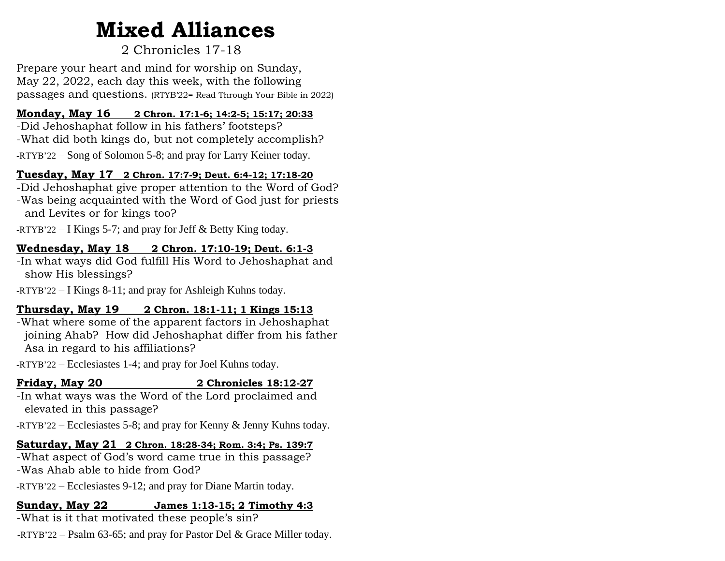# **Mixed Alliances**

# 2 Chronicles 17-18

Prepare your heart and mind for worship on Sunday, May 22, 2022, each day this week, with the following passages and questions. (RTYB'22= Read Through Your Bible in 2022)

#### **Monday, May 16 2 Chron. 17:1-6; 14:2-5; 15:17; 20:33**

-Did Jehoshaphat follow in his fathers' footsteps? -What did both kings do, but not completely accomplish? -RTYB'22 – Song of Solomon 5-8; and pray for Larry Keiner today.

#### **Tuesday, May 17 2 Chron. 17:7-9; Deut. 6:4-12; 17:18-20**

-Did Jehoshaphat give proper attention to the Word of God? -Was being acquainted with the Word of God just for priests and Levites or for kings too?

 $-RTYB'22 - I$  Kings 5-7; and pray for Jeff & Betty King today.

#### **Wednesday, May 18 2 Chron. 17:10-19; Deut. 6:1-3**

-In what ways did God fulfill His Word to Jehoshaphat and show His blessings?

-RTYB'22 – I Kings 8-11; and pray for Ashleigh Kuhns today.

#### **Thursday, May 19 2 Chron. 18:1-11; 1 Kings 15:13**

-What where some of the apparent factors in Jehoshaphat joining Ahab? How did Jehoshaphat differ from his father Asa in regard to his affiliations?

-RTYB'22 – Ecclesiastes 1-4; and pray for Joel Kuhns today.

#### **Friday, May 20 2 Chronicles 18:12-27**

-In what ways was the Word of the Lord proclaimed and elevated in this passage?

-RTYB'22 – Ecclesiastes 5-8; and pray for Kenny & Jenny Kuhns today.

### **Saturday, May 21 2 Chron. 18:28-34; Rom. 3:4; Ps. 139:7**

-What aspect of God's word came true in this passage? -Was Ahab able to hide from God?

-RTYB'22 – Ecclesiastes 9-12; and pray for Diane Martin today.

## **Sunday, May 22 James 1:13-15; 2 Timothy 4:3**

-What is it that motivated these people's sin?

-RTYB'22 – Psalm 63-65; and pray for Pastor Del & Grace Miller today.